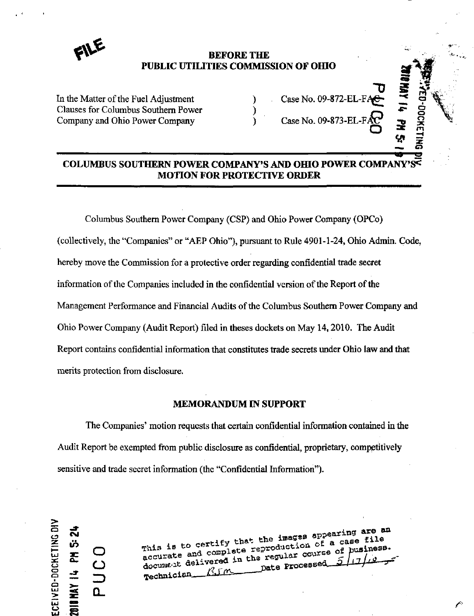

### **BEFORE THE** PUBLIC UTILITIES COMMISSION OF OHIO

In the Matter of the Fuel Adjustment () Clauses for Columbus Southern Power () Clauses for Columbus Southern Power (2014) (Company and Ohio Power Company (2014) Company and Ohio Power Company

| Case No. 09-872-EL-FAC |   |  |
|------------------------|---|--|
| Case No. 09-873-EL-FAC | ¥ |  |
|                        |   |  |

# COLUMBUS SOUTHERN POWER COMPANY'S AND OHIO POWER COMPANY MOTION FOR PROTECTIVE ORDER

Columbus Southem Power Company (CSP) and Ohio Power Company (OPCo) (collectively, the "Companies" or "AEP Ohio"), pursuant to Rule 4901-1-24, Ohio Admin. Code, hereby move the Commission for a protective order regarding confidential trade secret information of the Companies included in the confidential version of the Report of the Management Performance and Financial Audits of the Columbus Southem Power Company and Ohio Power Company (Audit Report) filed in theses dockets on May 14,2010. The Audit Report contains confidential information that constitutes trade secrets under Ohio law and that merits protection from disclosure.

### MEMORANDUM IN SUPPORT

The Companies' motion requests that certain confidential information contained in the Audit Report be exempted from public disclosure as confidential, proprietary, competitively sensitive and trade secret information (the "Confidential Information").

 $\geq$  $\Xi$   $\Xi$  $\boldsymbol{\omega}$   $\boldsymbol{\Omega}$ 2018 MAY 14 PM

g ^ O ;ecurane and ^^^^^f^^^f regular court^e or f^^^"^^  $\mathbb{E}$  **0**  $\mathbb{E}$  delivered in the reserve  $\mathbb{E}$   $\frac{1}{2}$  $T$ echnician  $\frac{\beta_1 \gamma_2}{\beta_2 \gamma_1}$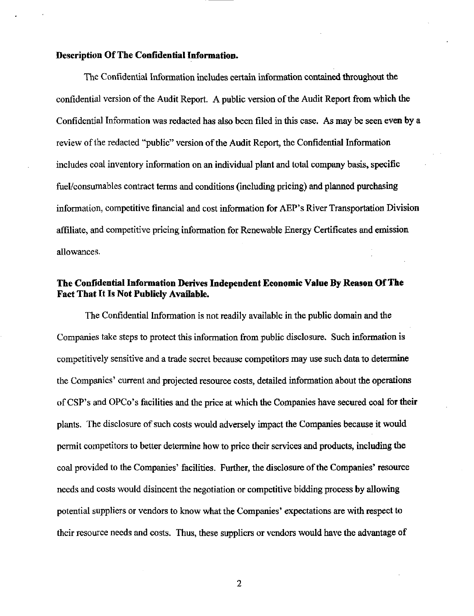#### Description Of The Confidential Information.

The Confidential Information includes certain information contained throughout the confidential version of the Audit Report. A public version of the Audit Report from which the Confidential Information was redacted has also been filed in this case. As may be seen even by a review of the redacted "public" version of the Audit Report, the Confidential Information includes coal inventory information on an individual plant and total company basis, specific fuel/consumables contract terms and conditions (including pricing) and planned purchasing information, competitive financial and cost information for AEP's River Transportation Division affiliate, and competitive pricing information for Renewable Energy Certificates and emission allowances.

## The Confidential Information Derives Independent Economic Value By Reason Of The Fact That It Is Not Publicly Available.

The Confidential Information is not readily available in the public domain and the Companies take steps to protect this information from public disclosure. Such information is competitively sensitive and a trade secret because competitors may use such data to determine the Companies' current and projected resource costs, detailed information about the operations of CSP's and OPCo's facilities and the price at which the Companies have secured coal for their plants. The disclosure of such costs would adversely impact the Companies because it would permit competitors to better detemiine how to price their services and products, including the coal provided to the Companies' facilities. Further, the disclosure of the Companies' resource needs and costs would disincent the negotiation or competitive bidding process by allowing potential suppliers or vendors to know what the Companies' expectations are with respect to their resource needs and costs. Thus, these suppliers or vendors would have the advantage of

 $\overline{2}$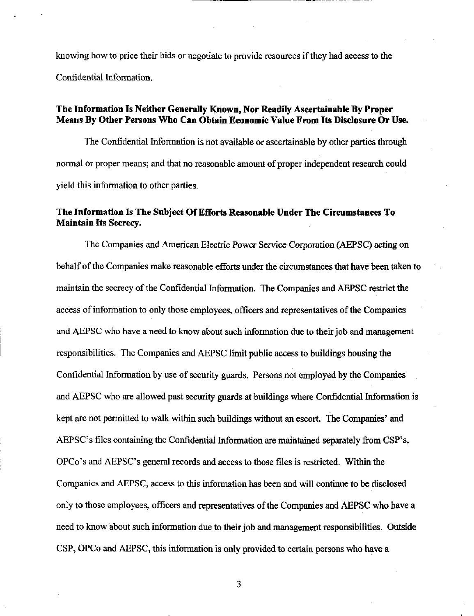knowing how to price their bids or negotiate to provide resources if they had access to the Confidential Information.

### The Information Is Neither Generally Known, Nor Readily Ascertainable By Proper Means By Other Persons Who Can Obtain Economic Value From Its Disclosure Or Use.

The Confidential Information is not available or ascertainable by other parties through normal or proper means; and that no reasonable amount of proper independent research could yield this information to other parties.

### The Information Is The Subject Of Efforts Reasonable Under The Circumstances To Maintain Its Secrecy.

The Companies and American Electric Power Service Corporation (AEPSC) acting on behalf of the Companies make reasonable efforts under the circumstances that have been taken to maintain the secrecy of the Confidential Information. The Companies and AEPSC restrict the access of information to only those employees, officers and representatives of the Companies and AEPSC who have a need to know about such information due to their job and management responsibilities. The Companies and AEPSC limit public access to buildings housing the Confidential Information by use of security guards. Persons not employed by the Companies and AEPSC who are allowed past security guards at buildings where Confidential Information is kept are not permitted to walk within such buildings without an escort. The Companies' and AEPSC's files containing the Confidential Information are maintained separately from CSP's, OPCo's and AEPSC's general records and access to those files is restricted. Within the Companies and AEPSC, access to this information has been and will continue to be disclosed only to those employees, officers and representatives of the Companies and AEPSC who have a need to know about such information due to their job and management responsibilities. Outside CSP, OPCo and AEPSC, this information is only provided to certain persons who have a

3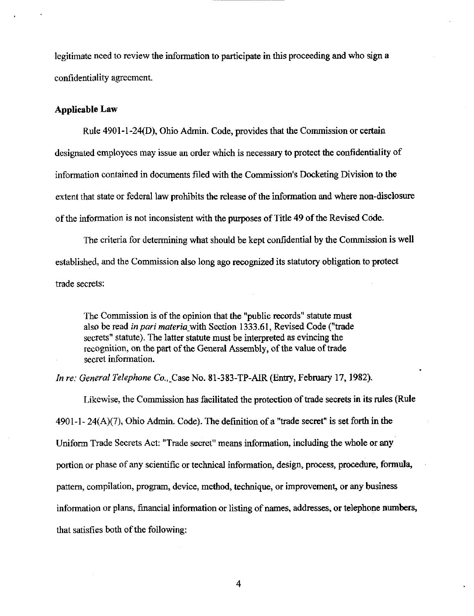legitimate need to review the information to participate in this proceeding and who sign a confidentiality agreement.

#### Applicable Law

Rule 4901-1-24(D), Ohio Admin. Code, provides that the Commission or certain designated employees may issue an order which is necessary to protect the confidentiality of information contained in documents filed with the Commission's Docketing Division to the extent that state or federal law prohibits the release of the information and where non-disclosure of the information is not inconsistent with the purposes of Title 49 of the Revised Code.

The criteria for determining what should be kept confidential by the Commission is well established, and the Commission also long ago recognized its statutory obligation to protect trade secrets:

The Commission is of the opinion that the "public records" statute must also be read in pari materia with Section 1333.61, Revised Code ("trade secrets" statute). The latter statute must be interpreted as evincing the recognition, on the part of the General Assembly, of the value of trade secret information.

In re: General Telephone Co., Case No. 81-383-TP-AIR (Entry, February 17, 1982).

Likewise, the Commission has facilitated the protection of trade secrets in its mles (Rule  $4901-1-24(A)(7)$ , Ohio Admin. Code). The definition of a "trade secret" is set forth in the Uniform Trade Secrets Act: "Trade secret" means information, including the whole or any portion or phase of any scientific or technical information, design, process, procedure, formula, pattem, compilation, program, device, method, technique, or improvement, or any business information or plans, financial information or listing of names, addresses, or telephone numbers, that satisfies both of the following: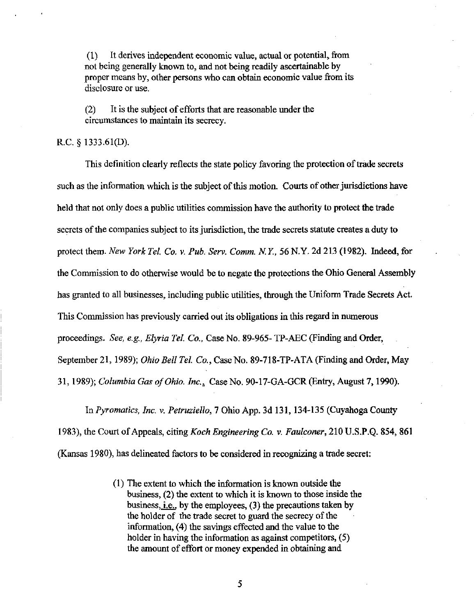(1) It derives independent economic value, actual or potential, from not being generally known to, and not being readily ascertainable by proper means by, other persons who can obtain economic value from its disclosure or use.

(2) It is the subject of efforts that are reasonable under the circumstances to maintain its secrecy.

#### R.C. § 1333.61(D).

This definition clearly reflects the state policy favoring the protection of trade secrets such as the information which is the subject of this motion. Courts of other jurisdictions have held that not only does a public utilities commission have the authority to protect the trade secrets of the companies subject to its jurisdiction, the trade secrets statute creates a duty to protect them. New York Tel. Co. v. Pub. Serv. Comm. N.Y., 56 N.Y. 2d 213 (1982). Indeed, for the Commission to do otherwise would be to negate the protections the Ohio General Assembly has granted to all businesses, including public utilities, through the Uniform Trade Secrets Act. This Commission has previously carried out its obligations in this regard in numerous proceedings. See, e.g., Elyria Tel. Co., Case No. 89-965- TP-AEC (Finding and Order, September 21, 1989); Ohio Bell Tel. Co., Case No. 89-718-TP-ATA (Finding and Order, May 31, 1989); Columbia Gas of Ohio. Inc., Case No. 90-17-GA-GCR (Entry, August 7, 1990).

In Pyromatics, Inc. v. Petruziello, 7 Ohio App. 3d 131, 134-135 (Cuyahoga County 1983), the Court of Appeals, citing Koch Engineering Co. v. Faulconer, 210 U.S.P.Q. 854, 861 (Kansas 1980), has delineated factors to be considered in recognizing a trade secret:

> (1) The extent to which the infonnation is known outside the business, (2) the extent to which it is known to those inside the business, i.e., by the employees, (3) the precautions taken by the holder of the trade secret to guard the secrecy of the information, (4) the savings effected and the value to the holder in having the information as against competitors,  $(5)$ the amount of effort or money expended in obtaining and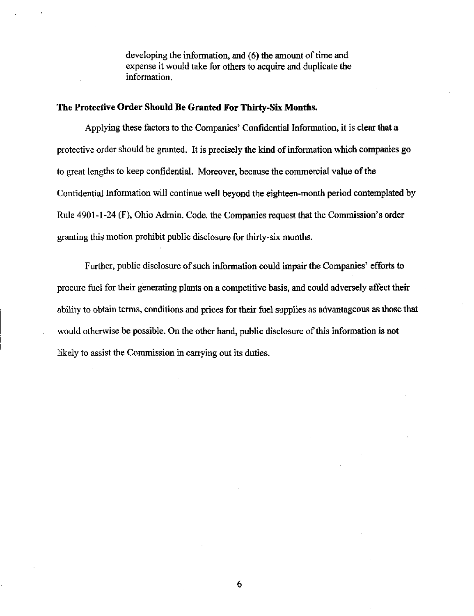developing the information, and (6) the amount of time and expense it would take for others to acquire and duplicate the information.

### The Protective Order Should Be Granted For Thirty-Six Months.

Applying these factors to the Companies' Confidential Information, it is clear that a protective order should be granted. It is precisely the kind of information which companies go to great lengths to keep confidential. Moreover, because the commercial value of the Confidential Information will continue well beyond the eighteen-month period contemplated by Rule 4901-1-24 (F), Ohio Admin. Code, the Companies request that the Commission's order granting this motion prohibit public discloswe for thirty-six months.

Further, public disclosure of such information could impair the Companies' efforts to procure fuel for their generating plants on a competitive basis, and could adversely affect their ability to obtain terms, conditions and prices for their fuel supplies as advantageous as those that would otherwise be possible. On the other hand, public disclosure of this information is not likely to assist the Commission in carrying out its duties.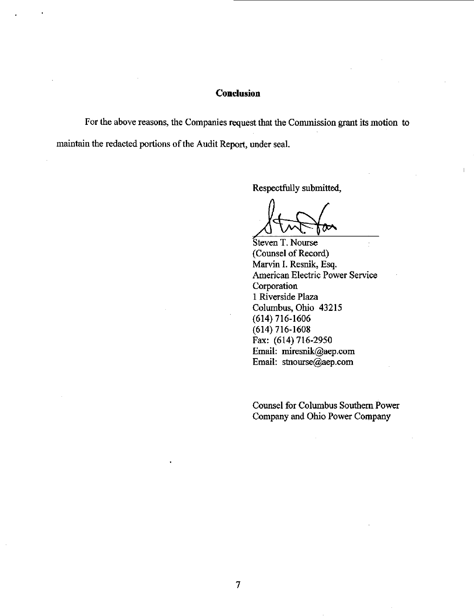#### **Conclusion**

For the above reasons, the Companies request that the Commission grant its motion to maintain the redacted portions of the Audit Report, under seal.

Respectfully submitted.

 $\mathbf{I}$ 

Steven T. Nourse (Counsel of Record) Marvin I. Resnik, Esq. American Electric Power Service Corporation 1 Riverside Plaza Columbus, Ohio 43215 (614) 716-1606  $(614)$  716-1608 Fax: (614) 716-2950 Email: [miresnik@aep.com](mailto:miresnik@aep.com) Email: [stnourse@aep.com](mailto:stnourse@aep.com) 

Counsel for Columbus Southem Power Company and Ohio Power Company